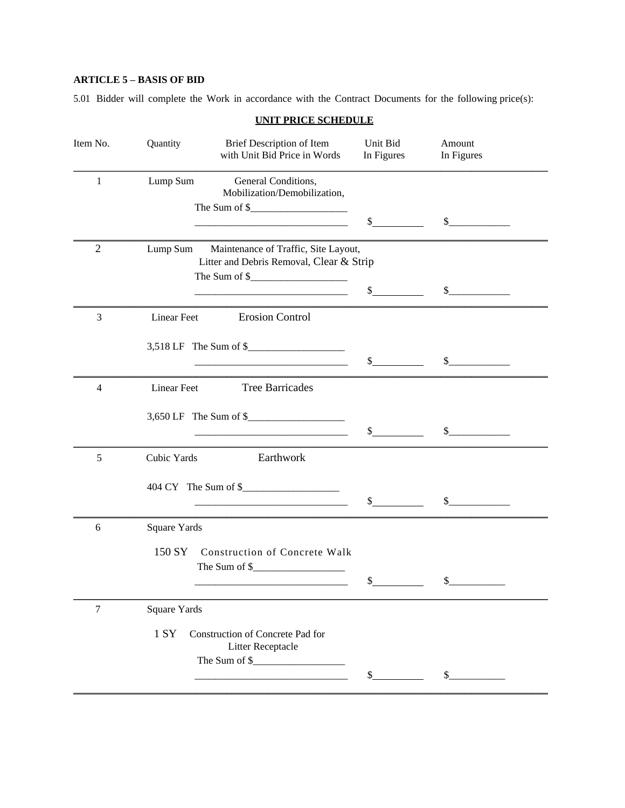## **ARTICLE 5 – BASIS OF BID**

5.01 Bidder will complete the Work in accordance with the Contract Documents for the following price(s):

| UNIT PRICE SCHEDULE |                                                           |                                                                                                                                                                                                                                                                                                                                                                                                                                                                                                                                                                                                                                                                                                                                                                                                                                                                                                                                                                                                                                                                            |                                                                                           |  |  |  |  |
|---------------------|-----------------------------------------------------------|----------------------------------------------------------------------------------------------------------------------------------------------------------------------------------------------------------------------------------------------------------------------------------------------------------------------------------------------------------------------------------------------------------------------------------------------------------------------------------------------------------------------------------------------------------------------------------------------------------------------------------------------------------------------------------------------------------------------------------------------------------------------------------------------------------------------------------------------------------------------------------------------------------------------------------------------------------------------------------------------------------------------------------------------------------------------------|-------------------------------------------------------------------------------------------|--|--|--|--|
| Quantity            | Brief Description of Item<br>with Unit Bid Price in Words | Unit Bid<br>In Figures                                                                                                                                                                                                                                                                                                                                                                                                                                                                                                                                                                                                                                                                                                                                                                                                                                                                                                                                                                                                                                                     | Amount<br>In Figures                                                                      |  |  |  |  |
| Lump Sum            | General Conditions,<br>Mobilization/Demobilization,       |                                                                                                                                                                                                                                                                                                                                                                                                                                                                                                                                                                                                                                                                                                                                                                                                                                                                                                                                                                                                                                                                            |                                                                                           |  |  |  |  |
|                     |                                                           | \$                                                                                                                                                                                                                                                                                                                                                                                                                                                                                                                                                                                                                                                                                                                                                                                                                                                                                                                                                                                                                                                                         | $\sim$                                                                                    |  |  |  |  |
|                     |                                                           |                                                                                                                                                                                                                                                                                                                                                                                                                                                                                                                                                                                                                                                                                                                                                                                                                                                                                                                                                                                                                                                                            |                                                                                           |  |  |  |  |
|                     |                                                           | \$                                                                                                                                                                                                                                                                                                                                                                                                                                                                                                                                                                                                                                                                                                                                                                                                                                                                                                                                                                                                                                                                         | \$                                                                                        |  |  |  |  |
| <b>Linear Feet</b>  | <b>Erosion Control</b>                                    |                                                                                                                                                                                                                                                                                                                                                                                                                                                                                                                                                                                                                                                                                                                                                                                                                                                                                                                                                                                                                                                                            |                                                                                           |  |  |  |  |
|                     |                                                           | $\mathbb{S}$                                                                                                                                                                                                                                                                                                                                                                                                                                                                                                                                                                                                                                                                                                                                                                                                                                                                                                                                                                                                                                                               | $\sim$                                                                                    |  |  |  |  |
| Linear Feet         | <b>Tree Barricades</b>                                    |                                                                                                                                                                                                                                                                                                                                                                                                                                                                                                                                                                                                                                                                                                                                                                                                                                                                                                                                                                                                                                                                            |                                                                                           |  |  |  |  |
|                     |                                                           | \$                                                                                                                                                                                                                                                                                                                                                                                                                                                                                                                                                                                                                                                                                                                                                                                                                                                                                                                                                                                                                                                                         | \$                                                                                        |  |  |  |  |
| Cubic Yards         | Earthwork                                                 |                                                                                                                                                                                                                                                                                                                                                                                                                                                                                                                                                                                                                                                                                                                                                                                                                                                                                                                                                                                                                                                                            |                                                                                           |  |  |  |  |
|                     |                                                           | $\mathcal{S}$                                                                                                                                                                                                                                                                                                                                                                                                                                                                                                                                                                                                                                                                                                                                                                                                                                                                                                                                                                                                                                                              | $\sim$                                                                                    |  |  |  |  |
| <b>Square Yards</b> |                                                           |                                                                                                                                                                                                                                                                                                                                                                                                                                                                                                                                                                                                                                                                                                                                                                                                                                                                                                                                                                                                                                                                            |                                                                                           |  |  |  |  |
| 150 SY              |                                                           |                                                                                                                                                                                                                                                                                                                                                                                                                                                                                                                                                                                                                                                                                                                                                                                                                                                                                                                                                                                                                                                                            |                                                                                           |  |  |  |  |
|                     |                                                           |                                                                                                                                                                                                                                                                                                                                                                                                                                                                                                                                                                                                                                                                                                                                                                                                                                                                                                                                                                                                                                                                            | \$                                                                                        |  |  |  |  |
| <b>Square Yards</b> |                                                           |                                                                                                                                                                                                                                                                                                                                                                                                                                                                                                                                                                                                                                                                                                                                                                                                                                                                                                                                                                                                                                                                            |                                                                                           |  |  |  |  |
| 1 SY                | Litter Receptacle                                         |                                                                                                                                                                                                                                                                                                                                                                                                                                                                                                                                                                                                                                                                                                                                                                                                                                                                                                                                                                                                                                                                            |                                                                                           |  |  |  |  |
|                     |                                                           | \$                                                                                                                                                                                                                                                                                                                                                                                                                                                                                                                                                                                                                                                                                                                                                                                                                                                                                                                                                                                                                                                                         | \$                                                                                        |  |  |  |  |
|                     |                                                           | The Sum of $\frac{1}{2}$ and $\frac{1}{2}$ and $\frac{1}{2}$ and $\frac{1}{2}$ and $\frac{1}{2}$ and $\frac{1}{2}$ and $\frac{1}{2}$ and $\frac{1}{2}$ and $\frac{1}{2}$ and $\frac{1}{2}$ and $\frac{1}{2}$ and $\frac{1}{2}$ and $\frac{1}{2}$ and $\frac{1}{2}$ and $\frac{1}{2}$ and<br>The Sum of $\frac{1}{2}$ $\frac{1}{2}$ $\frac{1}{2}$ $\frac{1}{2}$ $\frac{1}{2}$ $\frac{1}{2}$ $\frac{1}{2}$ $\frac{1}{2}$ $\frac{1}{2}$ $\frac{1}{2}$ $\frac{1}{2}$ $\frac{1}{2}$ $\frac{1}{2}$ $\frac{1}{2}$ $\frac{1}{2}$ $\frac{1}{2}$ $\frac{1}{2}$ $\frac{1}{2}$ $\frac{1}{2}$ $\frac{1}{2}$ $\frac{1}{2}$<br>3,518 LF The Sum of \$<br>3,650 LF The Sum of \$<br>Construction of Concrete Walk<br>The Sum of \$<br>Construction of Concrete Pad for<br>The Sum of $\frac{1}{2}$ $\frac{1}{2}$ $\frac{1}{2}$ $\frac{1}{2}$ $\frac{1}{2}$ $\frac{1}{2}$ $\frac{1}{2}$ $\frac{1}{2}$ $\frac{1}{2}$ $\frac{1}{2}$ $\frac{1}{2}$ $\frac{1}{2}$ $\frac{1}{2}$ $\frac{1}{2}$ $\frac{1}{2}$ $\frac{1}{2}$ $\frac{1}{2}$ $\frac{1}{2}$ $\frac{1}{2}$ $\frac{1}{2}$ $\frac{1}{2}$ | Lump Sum Maintenance of Traffic, Site Layout,<br>Litter and Debris Removal, Clear & Strip |  |  |  |  |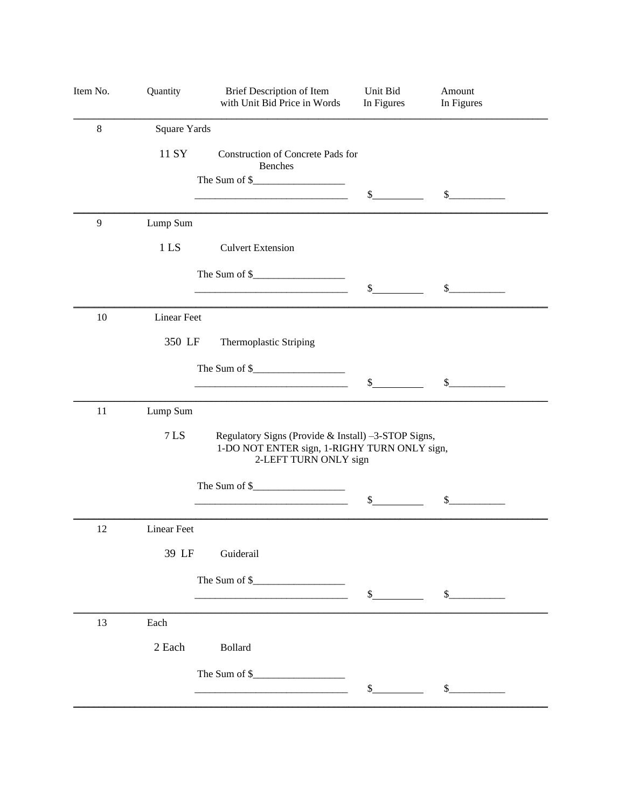| Item No. | Quantity           | Brief Description of Item<br>with Unit Bid Price in Words                                                                                                                                                                                                                                                                                                                                                                                                                                                                                                                                                                                                                                                                                                                                                                                                                                                                                                                                                                                                                                                                                                                                                                                                                                                                                                                                                      | Unit Bid<br>In Figures | Amount<br>In Figures |  |
|----------|--------------------|----------------------------------------------------------------------------------------------------------------------------------------------------------------------------------------------------------------------------------------------------------------------------------------------------------------------------------------------------------------------------------------------------------------------------------------------------------------------------------------------------------------------------------------------------------------------------------------------------------------------------------------------------------------------------------------------------------------------------------------------------------------------------------------------------------------------------------------------------------------------------------------------------------------------------------------------------------------------------------------------------------------------------------------------------------------------------------------------------------------------------------------------------------------------------------------------------------------------------------------------------------------------------------------------------------------------------------------------------------------------------------------------------------------|------------------------|----------------------|--|
| $\,8\,$  | Square Yards       |                                                                                                                                                                                                                                                                                                                                                                                                                                                                                                                                                                                                                                                                                                                                                                                                                                                                                                                                                                                                                                                                                                                                                                                                                                                                                                                                                                                                                |                        |                      |  |
|          | 11 SY              | <b>Benches</b>                                                                                                                                                                                                                                                                                                                                                                                                                                                                                                                                                                                                                                                                                                                                                                                                                                                                                                                                                                                                                                                                                                                                                                                                                                                                                                                                                                                                 |                        |                      |  |
|          |                    | <u> 1989 - Johann Barn, mars ann an t-Amhain Aonaich an t-Aonaich an t-Aonaich ann an t-Aonaich ann an t-Aonaich</u>                                                                                                                                                                                                                                                                                                                                                                                                                                                                                                                                                                                                                                                                                                                                                                                                                                                                                                                                                                                                                                                                                                                                                                                                                                                                                           | $\sim$                 | $\sim$               |  |
| 9        | Lump Sum           |                                                                                                                                                                                                                                                                                                                                                                                                                                                                                                                                                                                                                                                                                                                                                                                                                                                                                                                                                                                                                                                                                                                                                                                                                                                                                                                                                                                                                |                        |                      |  |
|          | 1 <sub>LS</sub>    | <b>Culvert Extension</b>                                                                                                                                                                                                                                                                                                                                                                                                                                                                                                                                                                                                                                                                                                                                                                                                                                                                                                                                                                                                                                                                                                                                                                                                                                                                                                                                                                                       |                        |                      |  |
|          |                    |                                                                                                                                                                                                                                                                                                                                                                                                                                                                                                                                                                                                                                                                                                                                                                                                                                                                                                                                                                                                                                                                                                                                                                                                                                                                                                                                                                                                                |                        |                      |  |
|          |                    |                                                                                                                                                                                                                                                                                                                                                                                                                                                                                                                                                                                                                                                                                                                                                                                                                                                                                                                                                                                                                                                                                                                                                                                                                                                                                                                                                                                                                |                        |                      |  |
| 10       | <b>Linear Feet</b> |                                                                                                                                                                                                                                                                                                                                                                                                                                                                                                                                                                                                                                                                                                                                                                                                                                                                                                                                                                                                                                                                                                                                                                                                                                                                                                                                                                                                                |                        |                      |  |
|          | 350 LF             | Thermoplastic Striping                                                                                                                                                                                                                                                                                                                                                                                                                                                                                                                                                                                                                                                                                                                                                                                                                                                                                                                                                                                                                                                                                                                                                                                                                                                                                                                                                                                         |                        |                      |  |
|          |                    |                                                                                                                                                                                                                                                                                                                                                                                                                                                                                                                                                                                                                                                                                                                                                                                                                                                                                                                                                                                                                                                                                                                                                                                                                                                                                                                                                                                                                |                        |                      |  |
|          |                    |                                                                                                                                                                                                                                                                                                                                                                                                                                                                                                                                                                                                                                                                                                                                                                                                                                                                                                                                                                                                                                                                                                                                                                                                                                                                                                                                                                                                                |                        |                      |  |
| 11       | Lump Sum           |                                                                                                                                                                                                                                                                                                                                                                                                                                                                                                                                                                                                                                                                                                                                                                                                                                                                                                                                                                                                                                                                                                                                                                                                                                                                                                                                                                                                                |                        |                      |  |
|          | 7 LS               | Construction of Concrete Pads for<br>The Sum of $\frac{1}{2}$ metallicity of $\frac{1}{2}$ metallicity of $\frac{1}{2}$ metallicity of $\frac{1}{2}$ metallicity of $\frac{1}{2}$ metallicity of $\frac{1}{2}$ metallicity of $\frac{1}{2}$ metallicity of $\frac{1}{2}$ metallicity of $\frac{1}{2}$<br>$\sim$<br>$\sim$<br>The Sum of $\frac{1}{2}$ means of $\frac{1}{2}$ means of $\frac{1}{2}$ means of $\frac{1}{2}$ means of $\frac{1}{2}$ means of $\frac{1}{2}$ means of $\frac{1}{2}$ means of $\frac{1}{2}$ means of $\frac{1}{2}$ means of $\frac{1}{2}$ means of $\frac{1}{2}$ means of<br>\$<br>\$<br>Regulatory Signs (Provide & Install) -3-STOP Signs,<br>1-DO NOT ENTER sign, 1-RIGHY TURN ONLY sign,<br>2-LEFT TURN ONLY sign<br>The Sum of $\frac{1}{2}$ and $\frac{1}{2}$ and $\frac{1}{2}$ and $\frac{1}{2}$ and $\frac{1}{2}$ and $\frac{1}{2}$ and $\frac{1}{2}$ and $\frac{1}{2}$ and $\frac{1}{2}$ and $\frac{1}{2}$ and $\frac{1}{2}$ and $\frac{1}{2}$ and $\frac{1}{2}$ and $\frac{1}{2}$ and $\frac{1}{2}$ and<br>\$<br>\$<br>Guiderail<br>s<br>$\frac{1}{2}$<br><b>Bollard</b><br>The Sum of $\frac{1}{2}$ means of $\frac{1}{2}$ means of $\frac{1}{2}$ means of $\frac{1}{2}$ means of $\frac{1}{2}$ means of $\frac{1}{2}$ means of $\frac{1}{2}$ means of $\frac{1}{2}$ means of $\frac{1}{2}$ means of $\frac{1}{2}$ means of $\frac{1}{2}$ means of<br>\$<br>$\mathbb{S}$ |                        |                      |  |
|          |                    |                                                                                                                                                                                                                                                                                                                                                                                                                                                                                                                                                                                                                                                                                                                                                                                                                                                                                                                                                                                                                                                                                                                                                                                                                                                                                                                                                                                                                |                        |                      |  |
|          |                    |                                                                                                                                                                                                                                                                                                                                                                                                                                                                                                                                                                                                                                                                                                                                                                                                                                                                                                                                                                                                                                                                                                                                                                                                                                                                                                                                                                                                                |                        |                      |  |
| 12       | <b>Linear Feet</b> |                                                                                                                                                                                                                                                                                                                                                                                                                                                                                                                                                                                                                                                                                                                                                                                                                                                                                                                                                                                                                                                                                                                                                                                                                                                                                                                                                                                                                |                        |                      |  |
|          | 39 LF              |                                                                                                                                                                                                                                                                                                                                                                                                                                                                                                                                                                                                                                                                                                                                                                                                                                                                                                                                                                                                                                                                                                                                                                                                                                                                                                                                                                                                                |                        |                      |  |
|          |                    |                                                                                                                                                                                                                                                                                                                                                                                                                                                                                                                                                                                                                                                                                                                                                                                                                                                                                                                                                                                                                                                                                                                                                                                                                                                                                                                                                                                                                |                        |                      |  |
|          |                    |                                                                                                                                                                                                                                                                                                                                                                                                                                                                                                                                                                                                                                                                                                                                                                                                                                                                                                                                                                                                                                                                                                                                                                                                                                                                                                                                                                                                                |                        |                      |  |
| 13       | Each               |                                                                                                                                                                                                                                                                                                                                                                                                                                                                                                                                                                                                                                                                                                                                                                                                                                                                                                                                                                                                                                                                                                                                                                                                                                                                                                                                                                                                                |                        |                      |  |
|          | 2 Each             |                                                                                                                                                                                                                                                                                                                                                                                                                                                                                                                                                                                                                                                                                                                                                                                                                                                                                                                                                                                                                                                                                                                                                                                                                                                                                                                                                                                                                |                        |                      |  |
|          |                    |                                                                                                                                                                                                                                                                                                                                                                                                                                                                                                                                                                                                                                                                                                                                                                                                                                                                                                                                                                                                                                                                                                                                                                                                                                                                                                                                                                                                                |                        |                      |  |
|          |                    |                                                                                                                                                                                                                                                                                                                                                                                                                                                                                                                                                                                                                                                                                                                                                                                                                                                                                                                                                                                                                                                                                                                                                                                                                                                                                                                                                                                                                |                        |                      |  |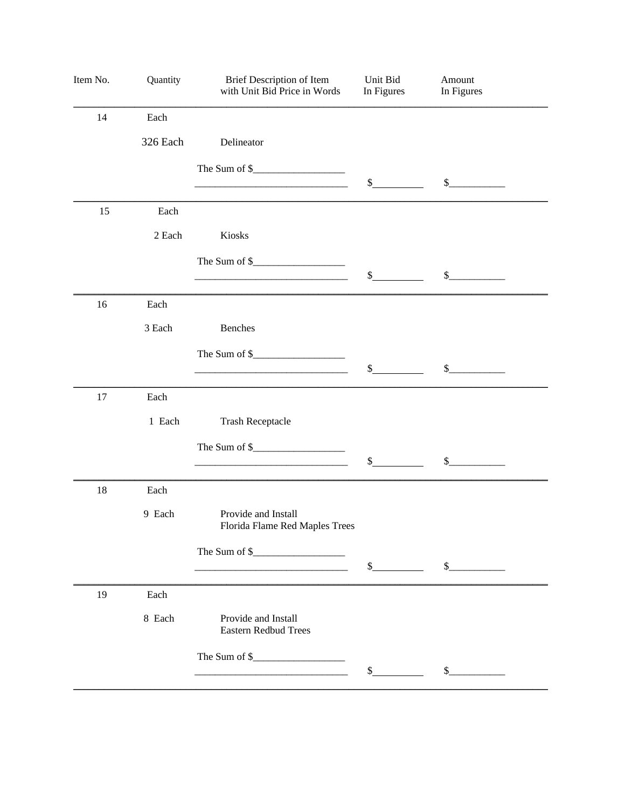| Item No. | Quantity | Brief Description of Item<br>with Unit Bid Price in Words                                                                                                                                                                                                                                                        | Unit Bid<br>In Figures | Amount<br>In Figures        |
|----------|----------|------------------------------------------------------------------------------------------------------------------------------------------------------------------------------------------------------------------------------------------------------------------------------------------------------------------|------------------------|-----------------------------|
| 14       | Each     |                                                                                                                                                                                                                                                                                                                  |                        |                             |
|          | 326 Each | Delineator                                                                                                                                                                                                                                                                                                       |                        |                             |
|          |          |                                                                                                                                                                                                                                                                                                                  |                        |                             |
|          |          |                                                                                                                                                                                                                                                                                                                  | $\frac{1}{2}$          | $\frac{1}{2}$               |
| 15       | Each     |                                                                                                                                                                                                                                                                                                                  |                        |                             |
|          | 2 Each   | Kiosks                                                                                                                                                                                                                                                                                                           |                        |                             |
|          |          | The Sum of $\frac{1}{2}$ $\frac{1}{2}$ $\frac{1}{2}$ $\frac{1}{2}$ $\frac{1}{2}$ $\frac{1}{2}$ $\frac{1}{2}$ $\frac{1}{2}$ $\frac{1}{2}$ $\frac{1}{2}$ $\frac{1}{2}$ $\frac{1}{2}$ $\frac{1}{2}$ $\frac{1}{2}$ $\frac{1}{2}$ $\frac{1}{2}$ $\frac{1}{2}$ $\frac{1}{2}$ $\frac{1}{2}$ $\frac{1}{2}$ $\frac{1}{2}$ |                        |                             |
|          |          |                                                                                                                                                                                                                                                                                                                  | $\mathbb{S}$           | $\sim$                      |
| 16       | Each     |                                                                                                                                                                                                                                                                                                                  |                        |                             |
|          | 3 Each   | Benches                                                                                                                                                                                                                                                                                                          |                        |                             |
|          |          |                                                                                                                                                                                                                                                                                                                  |                        |                             |
|          |          |                                                                                                                                                                                                                                                                                                                  | \$                     | $\mathcal{L}_{\mathcal{L}}$ |
| 17       | Each     |                                                                                                                                                                                                                                                                                                                  |                        |                             |
|          | 1 Each   | <b>Trash Receptacle</b>                                                                                                                                                                                                                                                                                          |                        |                             |
|          |          |                                                                                                                                                                                                                                                                                                                  |                        |                             |
|          |          |                                                                                                                                                                                                                                                                                                                  | \$                     | $\mathcal{L}_{\mathcal{L}}$ |
| 18       | Each     |                                                                                                                                                                                                                                                                                                                  |                        |                             |
|          | 9 Each   | Provide and Install<br>Florida Flame Red Maples Trees                                                                                                                                                                                                                                                            |                        |                             |
|          |          |                                                                                                                                                                                                                                                                                                                  |                        |                             |
|          |          |                                                                                                                                                                                                                                                                                                                  | $\frac{1}{2}$          | $\mathbb{S}$                |
| 19       | Each     |                                                                                                                                                                                                                                                                                                                  |                        |                             |
|          | 8 Each   | Provide and Install<br><b>Eastern Redbud Trees</b>                                                                                                                                                                                                                                                               |                        |                             |
|          |          | The Sum of $\frac{1}{2}$ and $\frac{1}{2}$ and $\frac{1}{2}$ and $\frac{1}{2}$ and $\frac{1}{2}$ and $\frac{1}{2}$ and $\frac{1}{2}$ and $\frac{1}{2}$ and $\frac{1}{2}$ and $\frac{1}{2}$ and $\frac{1}{2}$ and $\frac{1}{2}$ and $\frac{1}{2}$ and $\frac{1}{2}$ and $\frac{1}{2}$ and                         |                        |                             |
|          |          |                                                                                                                                                                                                                                                                                                                  | \$                     | \$                          |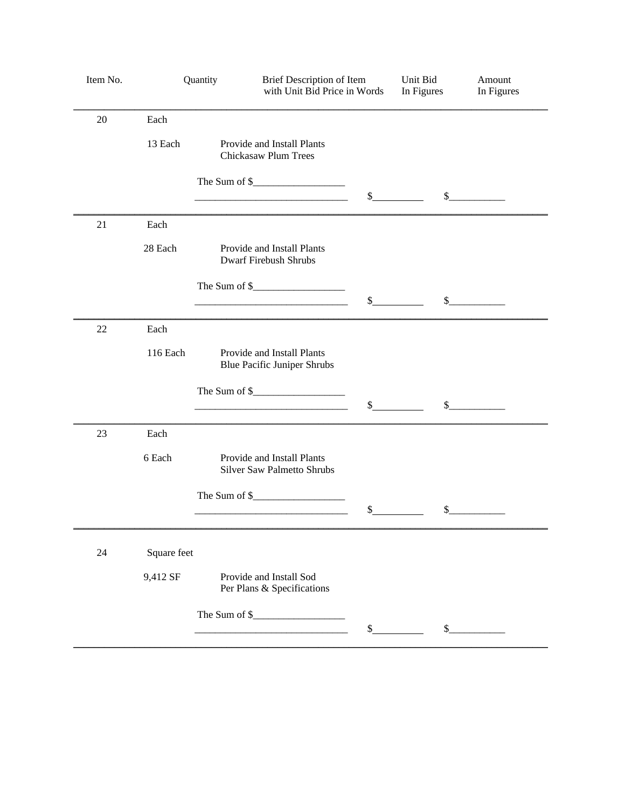| Item No. |             | Quantity | Brief Description of Item<br>with Unit Bid Price in Words                                                                                                                                                                                                               |                | Unit Bid<br>In Figures | Amount<br>In Figures |
|----------|-------------|----------|-------------------------------------------------------------------------------------------------------------------------------------------------------------------------------------------------------------------------------------------------------------------------|----------------|------------------------|----------------------|
| 20       | Each        |          |                                                                                                                                                                                                                                                                         |                |                        |                      |
|          | 13 Each     |          | Provide and Install Plants<br>Chickasaw Plum Trees                                                                                                                                                                                                                      |                |                        |                      |
|          |             |          | The Sum of $\frac{1}{2}$ means of $\frac{1}{2}$ means of $\frac{1}{2}$ means of $\frac{1}{2}$ means of $\frac{1}{2}$ means of $\frac{1}{2}$ means of $\frac{1}{2}$ means of $\frac{1}{2}$ means of $\frac{1}{2}$ means of $\frac{1}{2}$ means of $\frac{1}{2}$ means of | $\mathbb{S}$   |                        | $\mathcal{S}$        |
| 21       | Each        |          |                                                                                                                                                                                                                                                                         |                |                        |                      |
|          | 28 Each     |          | Provide and Install Plants<br><b>Dwarf Firebush Shrubs</b>                                                                                                                                                                                                              |                |                        |                      |
|          |             |          |                                                                                                                                                                                                                                                                         |                |                        |                      |
|          |             |          |                                                                                                                                                                                                                                                                         | \$             | \$                     |                      |
| 22       | Each        |          |                                                                                                                                                                                                                                                                         |                |                        |                      |
|          | 116 Each    |          | Provide and Install Plants<br><b>Blue Pacific Juniper Shrubs</b>                                                                                                                                                                                                        |                |                        |                      |
|          |             |          |                                                                                                                                                                                                                                                                         | $\mathbb{S}^-$ |                        | $\mathcal{S}$        |
| 23       | Each        |          |                                                                                                                                                                                                                                                                         |                |                        |                      |
|          | 6 Each      |          | Provide and Install Plants<br><b>Silver Saw Palmetto Shrubs</b>                                                                                                                                                                                                         |                |                        |                      |
|          |             |          | The Sum of \$                                                                                                                                                                                                                                                           | $\frac{1}{2}$  | \$                     |                      |
|          |             |          |                                                                                                                                                                                                                                                                         |                |                        |                      |
| 24       | Square feet |          |                                                                                                                                                                                                                                                                         |                |                        |                      |
|          | 9,412 SF    |          | Provide and Install Sod<br>Per Plans & Specifications                                                                                                                                                                                                                   |                |                        |                      |
|          |             |          | The Sum of $\frac{1}{2}$ metallicity of $\frac{1}{2}$                                                                                                                                                                                                                   | $\frac{1}{2}$  | \$                     |                      |
|          |             |          |                                                                                                                                                                                                                                                                         |                |                        |                      |